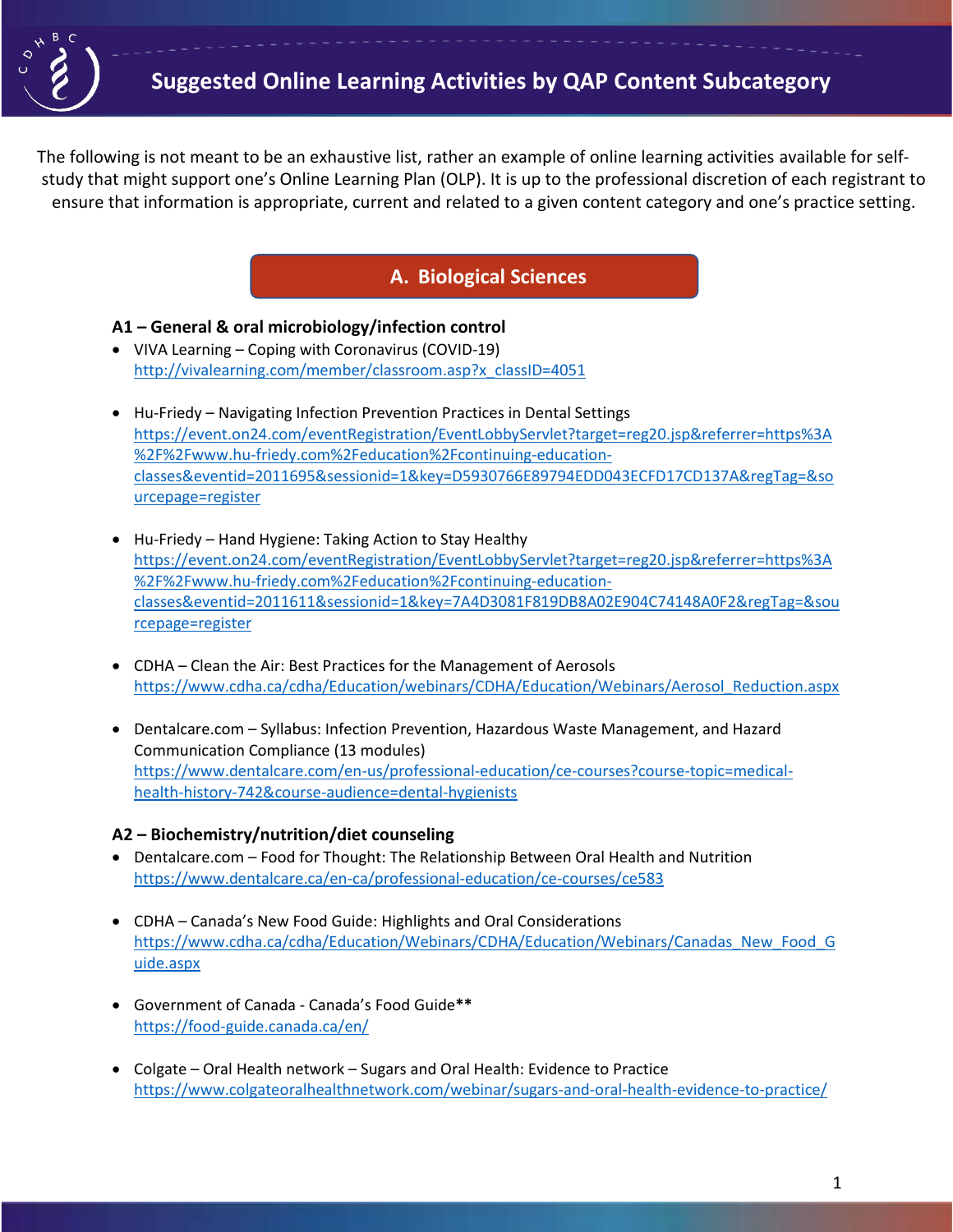

The following is not meant to be an exhaustive list, rather an example of online learning activities available for selfstudy that might support one's Online Learning Plan (OLP). It is up to the professional discretion of each registrant to ensure that information is appropriate, current and related to a given content category and one's practice setting.

# **A. Biological Sciences**

### **A1 – General & oral microbiology/infection control**

- VIVA Learning Coping with Coronavirus (COVID-19) [http://vivalearning.com/member/classroom.asp?x\\_classID=4051](http://vivalearning.com/member/classroom.asp?x_classID=4051)
- Hu-Friedy Navigating Infection Prevention Practices in Dental Settings [https://event.on24.com/eventRegistration/EventLobbyServlet?target=reg20.jsp&referrer=https%3A](https://event.on24.com/eventRegistration/EventLobbyServlet?target=reg20.jsp&referrer=https%3A%2F%2Fwww.hu-friedy.com%2Feducation%2Fcontinuing-education-classes&eventid=2011695&sessionid=1&key=D5930766E89794EDD043ECFD17CD137A®Tag=&sourcepage=register) [%2F%2Fwww.hu-friedy.com%2Feducation%2Fcontinuing-education](https://event.on24.com/eventRegistration/EventLobbyServlet?target=reg20.jsp&referrer=https%3A%2F%2Fwww.hu-friedy.com%2Feducation%2Fcontinuing-education-classes&eventid=2011695&sessionid=1&key=D5930766E89794EDD043ECFD17CD137A®Tag=&sourcepage=register)[classes&eventid=2011695&sessionid=1&key=D5930766E89794EDD043ECFD17CD137A&regTag=&so](https://event.on24.com/eventRegistration/EventLobbyServlet?target=reg20.jsp&referrer=https%3A%2F%2Fwww.hu-friedy.com%2Feducation%2Fcontinuing-education-classes&eventid=2011695&sessionid=1&key=D5930766E89794EDD043ECFD17CD137A®Tag=&sourcepage=register) [urcepage=register](https://event.on24.com/eventRegistration/EventLobbyServlet?target=reg20.jsp&referrer=https%3A%2F%2Fwww.hu-friedy.com%2Feducation%2Fcontinuing-education-classes&eventid=2011695&sessionid=1&key=D5930766E89794EDD043ECFD17CD137A®Tag=&sourcepage=register)
- Hu-Friedy Hand Hygiene: Taking Action to Stay Healthy [https://event.on24.com/eventRegistration/EventLobbyServlet?target=reg20.jsp&referrer=https%3A](https://event.on24.com/eventRegistration/EventLobbyServlet?target=reg20.jsp&referrer=https%3A%2F%2Fwww.hu-friedy.com%2Feducation%2Fcontinuing-education-classes&eventid=2011611&sessionid=1&key=7A4D3081F819DB8A02E904C74148A0F2®Tag=&sourcepage=register) [%2F%2Fwww.hu-friedy.com%2Feducation%2Fcontinuing-education](https://event.on24.com/eventRegistration/EventLobbyServlet?target=reg20.jsp&referrer=https%3A%2F%2Fwww.hu-friedy.com%2Feducation%2Fcontinuing-education-classes&eventid=2011611&sessionid=1&key=7A4D3081F819DB8A02E904C74148A0F2®Tag=&sourcepage=register)[classes&eventid=2011611&sessionid=1&key=7A4D3081F819DB8A02E904C74148A0F2&regTag=&sou](https://event.on24.com/eventRegistration/EventLobbyServlet?target=reg20.jsp&referrer=https%3A%2F%2Fwww.hu-friedy.com%2Feducation%2Fcontinuing-education-classes&eventid=2011611&sessionid=1&key=7A4D3081F819DB8A02E904C74148A0F2®Tag=&sourcepage=register) [rcepage=register](https://event.on24.com/eventRegistration/EventLobbyServlet?target=reg20.jsp&referrer=https%3A%2F%2Fwww.hu-friedy.com%2Feducation%2Fcontinuing-education-classes&eventid=2011611&sessionid=1&key=7A4D3081F819DB8A02E904C74148A0F2®Tag=&sourcepage=register)
- CDHA Clean the Air: Best Practices for the Management of Aerosols [https://www.cdha.ca/cdha/Education/webinars/CDHA/Education/Webinars/Aerosol\\_Reduction.aspx](https://www.cdha.ca/cdha/Education/webinars/CDHA/Education/Webinars/Aerosol_Reduction.aspx)
- Dentalcare.com Syllabus: Infection Prevention, Hazardous Waste Management, and Hazard Communication Compliance (13 modules) [https://www.dentalcare.com/en-us/professional-education/ce-courses?course-topic=medical](https://www.dentalcare.com/en-us/professional-education/ce-courses?course-topic=medical-health-history-742&course-audience=dental-hygienists)[health-history-742&course-audience=dental-hygienists](https://www.dentalcare.com/en-us/professional-education/ce-courses?course-topic=medical-health-history-742&course-audience=dental-hygienists)

### **A2 – Biochemistry/nutrition/diet counseling**

- Dentalcare.com Food for Thought: The Relationship Between Oral Health and Nutrition <https://www.dentalcare.ca/en-ca/professional-education/ce-courses/ce583>
- CDHA Canada's New Food Guide: Highlights and Oral Considerations [https://www.cdha.ca/cdha/Education/Webinars/CDHA/Education/Webinars/Canadas\\_New\\_Food\\_G](https://www.cdha.ca/cdha/Education/Webinars/CDHA/Education/Webinars/Canadas_New_Food_Guide.aspx) [uide.aspx](https://www.cdha.ca/cdha/Education/Webinars/CDHA/Education/Webinars/Canadas_New_Food_Guide.aspx)
- Government of Canada Canada's Food Guide**\*\*** <https://food-guide.canada.ca/en/>
- Colgate Oral Health network Sugars and Oral Health: Evidence to Practice <https://www.colgateoralhealthnetwork.com/webinar/sugars-and-oral-health-evidence-to-practice/>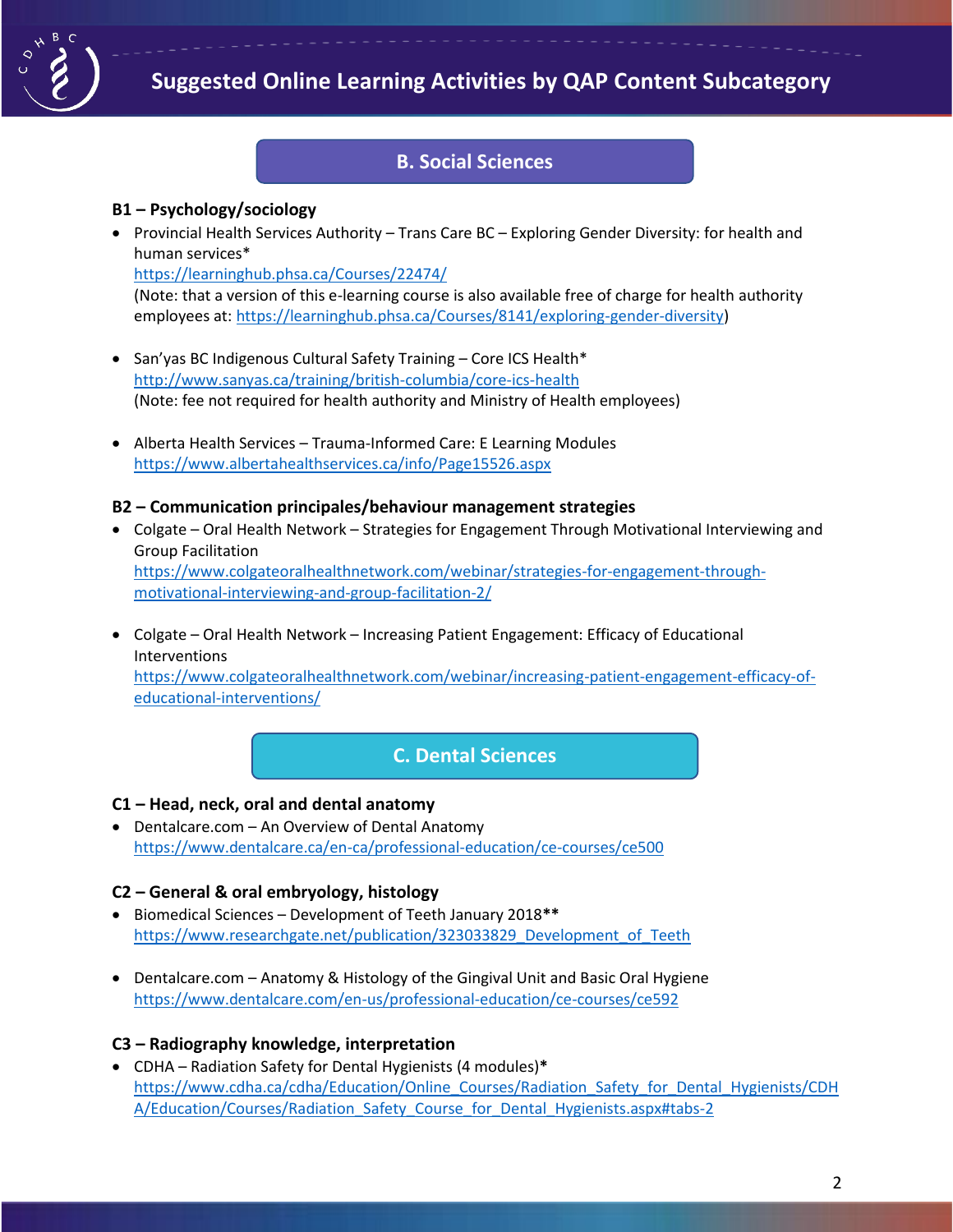

## **B. Social Sciences**

### **B1 – Psychology/sociology**

• Provincial Health Services Authority – Trans Care BC – Exploring Gender Diversity: for health and human services\* <https://learninghub.phsa.ca/Courses/22474/>

(Note: that a version of this e-learning course is also available free of charge for health authority employees at[: https://learninghub.phsa.ca/Courses/8141/exploring-gender-diversity\)](https://learninghub.phsa.ca/Courses/8141/exploring-gender-diversity)

- San'yas BC Indigenous Cultural Safety Training Core ICS Health\* <http://www.sanyas.ca/training/british-columbia/core-ics-health> (Note: fee not required for health authority and Ministry of Health employees)
- Alberta Health Services Trauma-Informed Care: E Learning Modules <https://www.albertahealthservices.ca/info/Page15526.aspx>

### **B2 – Communication principales/behaviour management strategies**

- Colgate Oral Health Network Strategies for Engagement Through Motivational Interviewing and Group Facilitation [https://www.colgateoralhealthnetwork.com/webinar/strategies-for-engagement-through](https://www.colgateoralhealthnetwork.com/webinar/strategies-for-engagement-through-motivational-interviewing-and-group-facilitation-2/)[motivational-interviewing-and-group-facilitation-2/](https://www.colgateoralhealthnetwork.com/webinar/strategies-for-engagement-through-motivational-interviewing-and-group-facilitation-2/)
- Colgate Oral Health Network Increasing Patient Engagement: Efficacy of Educational Interventions [https://www.colgateoralhealthnetwork.com/webinar/increasing-patient-engagement-efficacy-of](https://www.colgateoralhealthnetwork.com/webinar/increasing-patient-engagement-efficacy-of-educational-interventions/)[educational-interventions/](https://www.colgateoralhealthnetwork.com/webinar/increasing-patient-engagement-efficacy-of-educational-interventions/)

# **C. Dental Sciences**

#### **C1 – Head, neck, oral and dental anatomy**

• Dentalcare.com – An Overview of Dental Anatomy <https://www.dentalcare.ca/en-ca/professional-education/ce-courses/ce500>

### **C2 – General & oral embryology, histology**

- Biomedical Sciences Development of Teeth January 2018**\*\*** [https://www.researchgate.net/publication/323033829\\_Development\\_of\\_Teeth](https://www.researchgate.net/publication/323033829_Development_of_Teeth)
- Dentalcare.com Anatomy & Histology of the Gingival Unit and Basic Oral Hygiene <https://www.dentalcare.com/en-us/professional-education/ce-courses/ce592>

### **C3 – Radiography knowledge, interpretation**

• CDHA – Radiation Safety for Dental Hygienists (4 modules)**\***  [https://www.cdha.ca/cdha/Education/Online\\_Courses/Radiation\\_Safety\\_for\\_Dental\\_Hygienists/CDH](https://www.cdha.ca/cdha/Education/Online_Courses/Radiation_Safety_for_Dental_Hygienists/CDHA/Education/Courses/Radiation_Safety_Course_for_Dental_Hygienists.aspx#tabs-2) A/Education/Courses/Radiation Safety Course for Dental Hygienists.aspx#tabs-2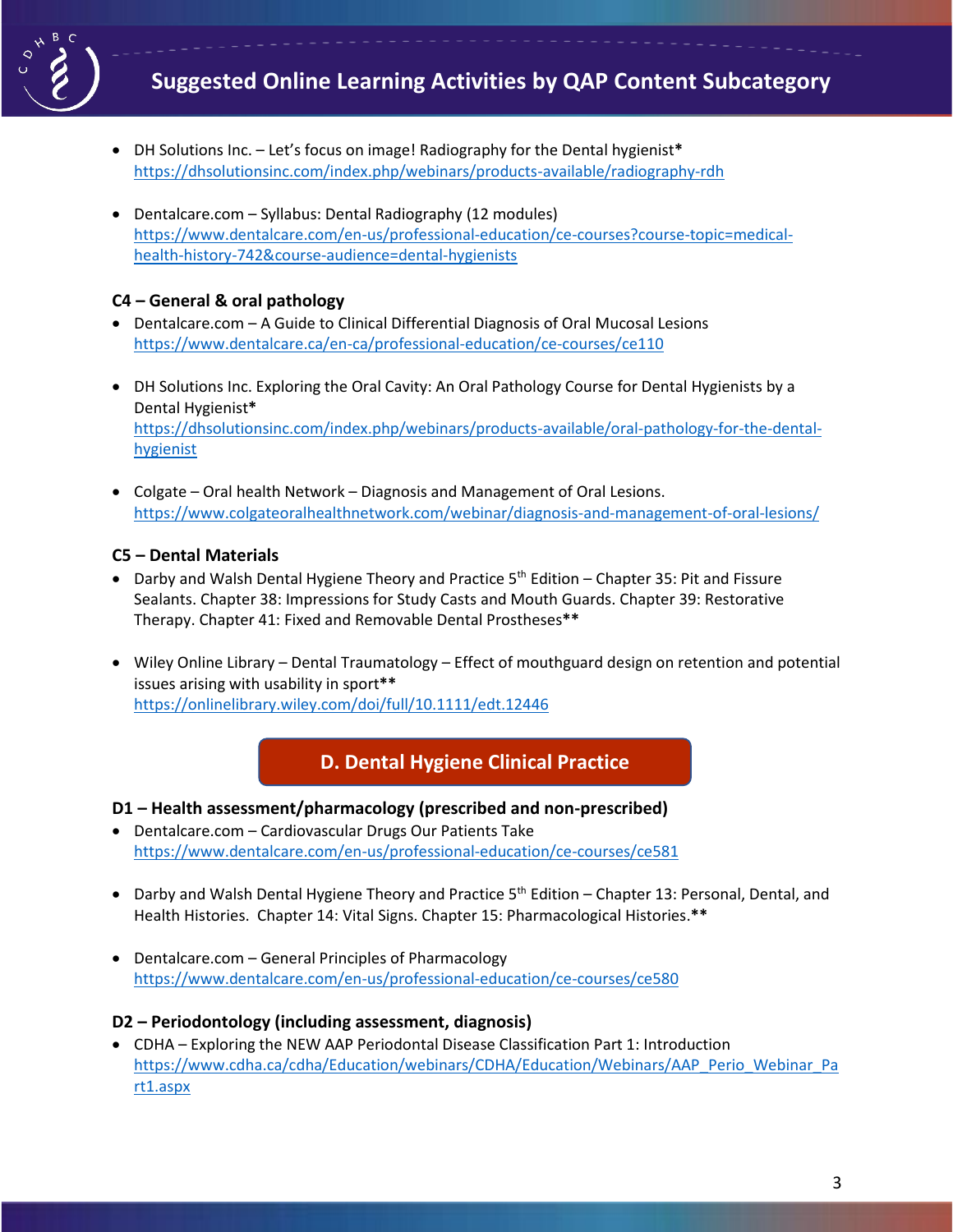

- DH Solutions Inc. Let's focus on image! Radiography for the Dental hygienist**\*** <https://dhsolutionsinc.com/index.php/webinars/products-available/radiography-rdh>
- Dentalcare.com Syllabus: Dental Radiography (12 modules) [https://www.dentalcare.com/en-us/professional-education/ce-courses?course-topic=medical](https://www.dentalcare.com/en-us/professional-education/ce-courses?course-topic=medical-health-history-742&course-audience=dental-hygienists)[health-history-742&course-audience=dental-hygienists](https://www.dentalcare.com/en-us/professional-education/ce-courses?course-topic=medical-health-history-742&course-audience=dental-hygienists)

## **C4 – General & oral pathology**

- Dentalcare.com A Guide to Clinical Differential Diagnosis of Oral Mucosal Lesions <https://www.dentalcare.ca/en-ca/professional-education/ce-courses/ce110>
- DH Solutions Inc. Exploring the Oral Cavity: An Oral Pathology Course for Dental Hygienists by a Dental Hygienist**\*** [https://dhsolutionsinc.com/index.php/webinars/products-available/oral-pathology-for-the-dental](https://dhsolutionsinc.com/index.php/webinars/products-available/oral-pathology-for-the-dental-hygienist)[hygienist](https://dhsolutionsinc.com/index.php/webinars/products-available/oral-pathology-for-the-dental-hygienist)
- Colgate Oral health Network Diagnosis and Management of Oral Lesions. <https://www.colgateoralhealthnetwork.com/webinar/diagnosis-and-management-of-oral-lesions/>

### **C5 – Dental Materials**

- Darby and Walsh Dental Hygiene Theory and Practice  $5<sup>th</sup>$  Edition Chapter 35: Pit and Fissure Sealants. Chapter 38: Impressions for Study Casts and Mouth Guards. Chapter 39: Restorative Therapy. Chapter 41: Fixed and Removable Dental Prostheses**\*\***
- Wiley Online Library Dental Traumatology Effect of mouthguard design on retention and potential issues arising with usability in sport**\*\*** <https://onlinelibrary.wiley.com/doi/full/10.1111/edt.12446>

# **D. Dental Hygiene Clinical Practice**

- **D1 – Health assessment/pharmacology (prescribed and non-prescribed)**
- Dentalcare.com Cardiovascular Drugs Our Patients Take <https://www.dentalcare.com/en-us/professional-education/ce-courses/ce581>
- Darby and Walsh Dental Hygiene Theory and Practice  $5<sup>th</sup>$  Edition Chapter 13: Personal, Dental, and Health Histories. Chapter 14: Vital Signs. Chapter 15: Pharmacological Histories.**\*\***
- Dentalcare.com General Principles of Pharmacology <https://www.dentalcare.com/en-us/professional-education/ce-courses/ce580>

### **D2 – Periodontology (including assessment, diagnosis)**

• CDHA – Exploring the NEW AAP Periodontal Disease Classification Part 1: Introduction [https://www.cdha.ca/cdha/Education/webinars/CDHA/Education/Webinars/AAP\\_Perio\\_Webinar\\_Pa](https://www.cdha.ca/cdha/Education/webinars/CDHA/Education/Webinars/AAP_Perio_Webinar_Part1.aspx) [rt1.aspx](https://www.cdha.ca/cdha/Education/webinars/CDHA/Education/Webinars/AAP_Perio_Webinar_Part1.aspx)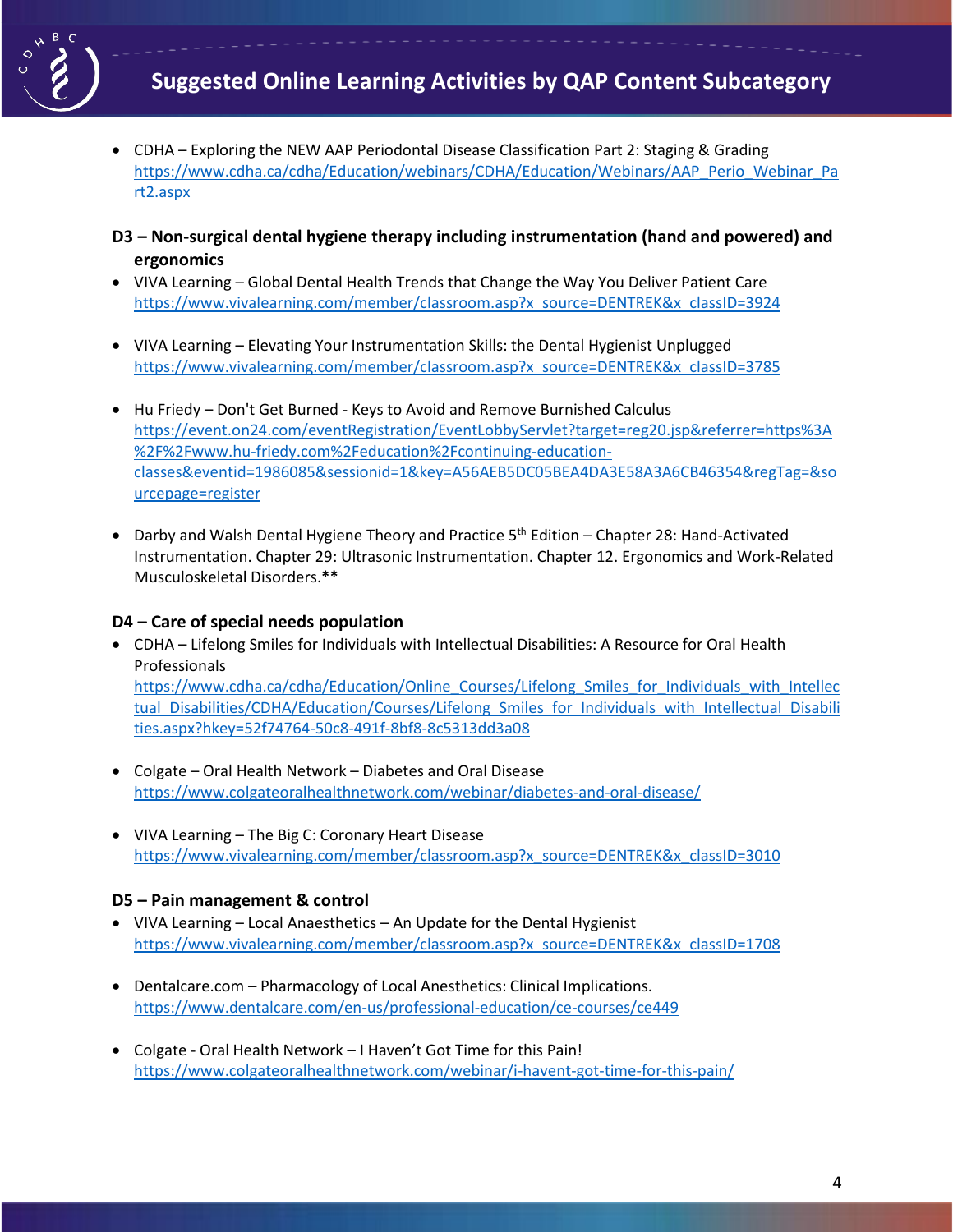

- CDHA Exploring the NEW AAP Periodontal Disease Classification Part 2: Staging & Grading [https://www.cdha.ca/cdha/Education/webinars/CDHA/Education/Webinars/AAP\\_Perio\\_Webinar\\_Pa](https://www.cdha.ca/cdha/Education/webinars/CDHA/Education/Webinars/AAP_Perio_Webinar_Part2.aspx) [rt2.aspx](https://www.cdha.ca/cdha/Education/webinars/CDHA/Education/Webinars/AAP_Perio_Webinar_Part2.aspx)
- **D3 – Non-surgical dental hygiene therapy including instrumentation (hand and powered) and ergonomics**
- VIVA Learning Global Dental Health Trends that Change the Way You Deliver Patient Care [https://www.vivalearning.com/member/classroom.asp?x\\_source=DENTREK&x\\_classID=3924](https://www.vivalearning.com/member/classroom.asp?x_source=DENTREK&x_classID=3924)
- VIVA Learning Elevating Your Instrumentation Skills: the Dental Hygienist Unplugged [https://www.vivalearning.com/member/classroom.asp?x\\_source=DENTREK&x\\_classID=3785](https://www.vivalearning.com/member/classroom.asp?x_source=DENTREK&x_classID=3785)
- Hu Friedy Don't Get Burned Keys to Avoid and Remove Burnished Calculus [https://event.on24.com/eventRegistration/EventLobbyServlet?target=reg20.jsp&referrer=https%3A](https://event.on24.com/eventRegistration/EventLobbyServlet?target=reg20.jsp&referrer=https%3A%2F%2Fwww.hu-friedy.com%2Feducation%2Fcontinuing-education-classes&eventid=1986085&sessionid=1&key=A56AEB5DC05BEA4DA3E58A3A6CB46354®Tag=&sourcepage=register) [%2F%2Fwww.hu-friedy.com%2Feducation%2Fcontinuing-education](https://event.on24.com/eventRegistration/EventLobbyServlet?target=reg20.jsp&referrer=https%3A%2F%2Fwww.hu-friedy.com%2Feducation%2Fcontinuing-education-classes&eventid=1986085&sessionid=1&key=A56AEB5DC05BEA4DA3E58A3A6CB46354®Tag=&sourcepage=register)[classes&eventid=1986085&sessionid=1&key=A56AEB5DC05BEA4DA3E58A3A6CB46354&regTag=&so](https://event.on24.com/eventRegistration/EventLobbyServlet?target=reg20.jsp&referrer=https%3A%2F%2Fwww.hu-friedy.com%2Feducation%2Fcontinuing-education-classes&eventid=1986085&sessionid=1&key=A56AEB5DC05BEA4DA3E58A3A6CB46354®Tag=&sourcepage=register) [urcepage=register](https://event.on24.com/eventRegistration/EventLobbyServlet?target=reg20.jsp&referrer=https%3A%2F%2Fwww.hu-friedy.com%2Feducation%2Fcontinuing-education-classes&eventid=1986085&sessionid=1&key=A56AEB5DC05BEA4DA3E58A3A6CB46354®Tag=&sourcepage=register)
- Darby and Walsh Dental Hygiene Theory and Practice 5<sup>th</sup> Edition Chapter 28: Hand-Activated Instrumentation. Chapter 29: Ultrasonic Instrumentation. Chapter 12. Ergonomics and Work-Related Musculoskeletal Disorders.**\*\***

## **D4 – Care of special needs population**

- CDHA Lifelong Smiles for Individuals with Intellectual Disabilities: A Resource for Oral Health Professionals [https://www.cdha.ca/cdha/Education/Online\\_Courses/Lifelong\\_Smiles\\_for\\_Individuals\\_with\\_Intellec](https://www.cdha.ca/cdha/Education/Online_Courses/Lifelong_Smiles_for_Individuals_with_Intellectual_Disabilities/CDHA/Education/Courses/Lifelong_Smiles_for_Individuals_with_Intellectual_Disabilities.aspx?hkey=52f74764-50c8-491f-8bf8-8c5313dd3a08) tual Disabilities/CDHA/Education/Courses/Lifelong Smiles for Individuals with Intellectual Disabili [ties.aspx?hkey=52f74764-50c8-491f-8bf8-8c5313dd3a08](https://www.cdha.ca/cdha/Education/Online_Courses/Lifelong_Smiles_for_Individuals_with_Intellectual_Disabilities/CDHA/Education/Courses/Lifelong_Smiles_for_Individuals_with_Intellectual_Disabilities.aspx?hkey=52f74764-50c8-491f-8bf8-8c5313dd3a08)
- Colgate Oral Health Network Diabetes and Oral Disease <https://www.colgateoralhealthnetwork.com/webinar/diabetes-and-oral-disease/>
- VIVA Learning The Big C: Coronary Heart Disease [https://www.vivalearning.com/member/classroom.asp?x\\_source=DENTREK&x\\_classID=3010](https://www.vivalearning.com/member/classroom.asp?x_source=DENTREK&x_classID=3010)

### **D5 – Pain management & control**

- VIVA Learning Local Anaesthetics An Update for the Dental Hygienist [https://www.vivalearning.com/member/classroom.asp?x\\_source=DENTREK&x\\_classID=1708](https://www.vivalearning.com/member/classroom.asp?x_source=DENTREK&x_classID=1708)
- Dentalcare.com Pharmacology of Local Anesthetics: Clinical Implications. <https://www.dentalcare.com/en-us/professional-education/ce-courses/ce449>
- Colgate Oral Health Network I Haven't Got Time for this Pain! <https://www.colgateoralhealthnetwork.com/webinar/i-havent-got-time-for-this-pain/>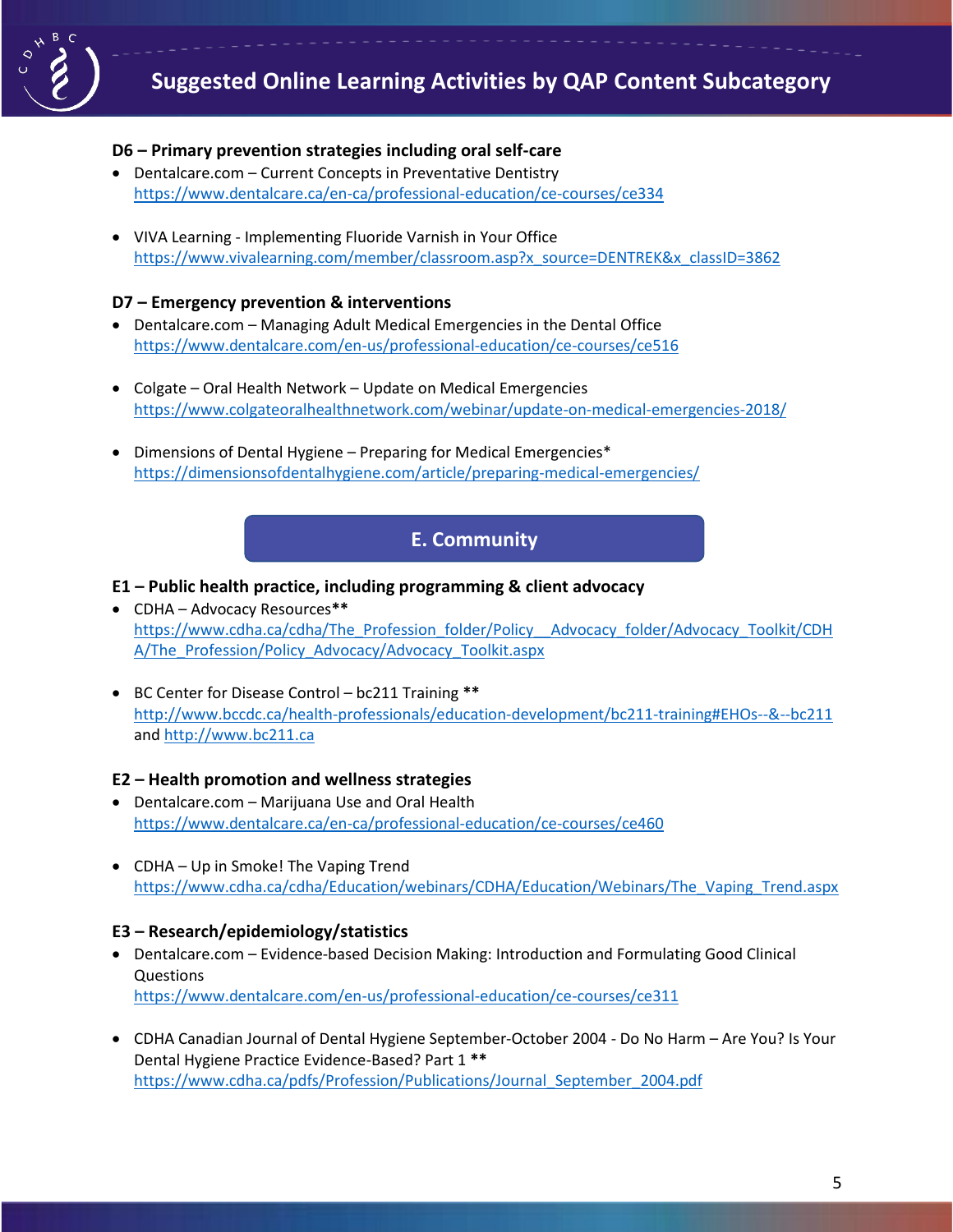

### **D6 – Primary prevention strategies including oral self-care**

- Dentalcare.com Current Concepts in Preventative Dentistry <https://www.dentalcare.ca/en-ca/professional-education/ce-courses/ce334>
- VIVA Learning Implementing Fluoride Varnish in Your Office [https://www.vivalearning.com/member/classroom.asp?x\\_source=DENTREK&x\\_classID=3862](https://www.vivalearning.com/member/classroom.asp?x_source=DENTREK&x_classID=3862)

### **D7 – Emergency prevention & interventions**

- Dentalcare.com Managing Adult Medical Emergencies in the Dental Office <https://www.dentalcare.com/en-us/professional-education/ce-courses/ce516>
- Colgate Oral Health Network Update on Medical Emergencies <https://www.colgateoralhealthnetwork.com/webinar/update-on-medical-emergencies-2018/>
- Dimensions of Dental Hygiene Preparing for Medical Emergencies\* <https://dimensionsofdentalhygiene.com/article/preparing-medical-emergencies/>

# **E. Community**

#### **E1 – Public health practice, including programming & client advocacy**

- CDHA Advocacy Resources**\*\*** [https://www.cdha.ca/cdha/The\\_Profession\\_folder/Policy\\_\\_Advocacy\\_folder/Advocacy\\_Toolkit/CDH](https://www.cdha.ca/cdha/The_Profession_folder/Policy__Advocacy_folder/Advocacy_Toolkit/CDHA/The_Profession/Policy_Advocacy/Advocacy_Toolkit.aspx) [A/The\\_Profession/Policy\\_Advocacy/Advocacy\\_Toolkit.aspx](https://www.cdha.ca/cdha/The_Profession_folder/Policy__Advocacy_folder/Advocacy_Toolkit/CDHA/The_Profession/Policy_Advocacy/Advocacy_Toolkit.aspx)
- BC Center for Disease Control bc211 Training **\*\*** <http://www.bccdc.ca/health-professionals/education-development/bc211-training#EHOs--&--bc211> an[d http://www.bc211.ca](http://www.bc211.ca/)

#### **E2 – Health promotion and wellness strategies**

- Dentalcare.com Marijuana Use and Oral Health <https://www.dentalcare.ca/en-ca/professional-education/ce-courses/ce460>
- CDHA Up in Smoke! The Vaping Trend [https://www.cdha.ca/cdha/Education/webinars/CDHA/Education/Webinars/The\\_Vaping\\_Trend.aspx](https://www.cdha.ca/cdha/Education/webinars/CDHA/Education/Webinars/The_Vaping_Trend.aspx)

### **E3 – Research/epidemiology/statistics**

- Dentalcare.com Evidence-based Decision Making: Introduction and Formulating Good Clinical Questions <https://www.dentalcare.com/en-us/professional-education/ce-courses/ce311>
- CDHA Canadian Journal of Dental Hygiene September-October 2004 Do No Harm Are You? Is Your Dental Hygiene Practice Evidence-Based? Part 1 **\*\*** https://www.cdha.ca/pdfs/Profession/Publications/Journal September 2004.pdf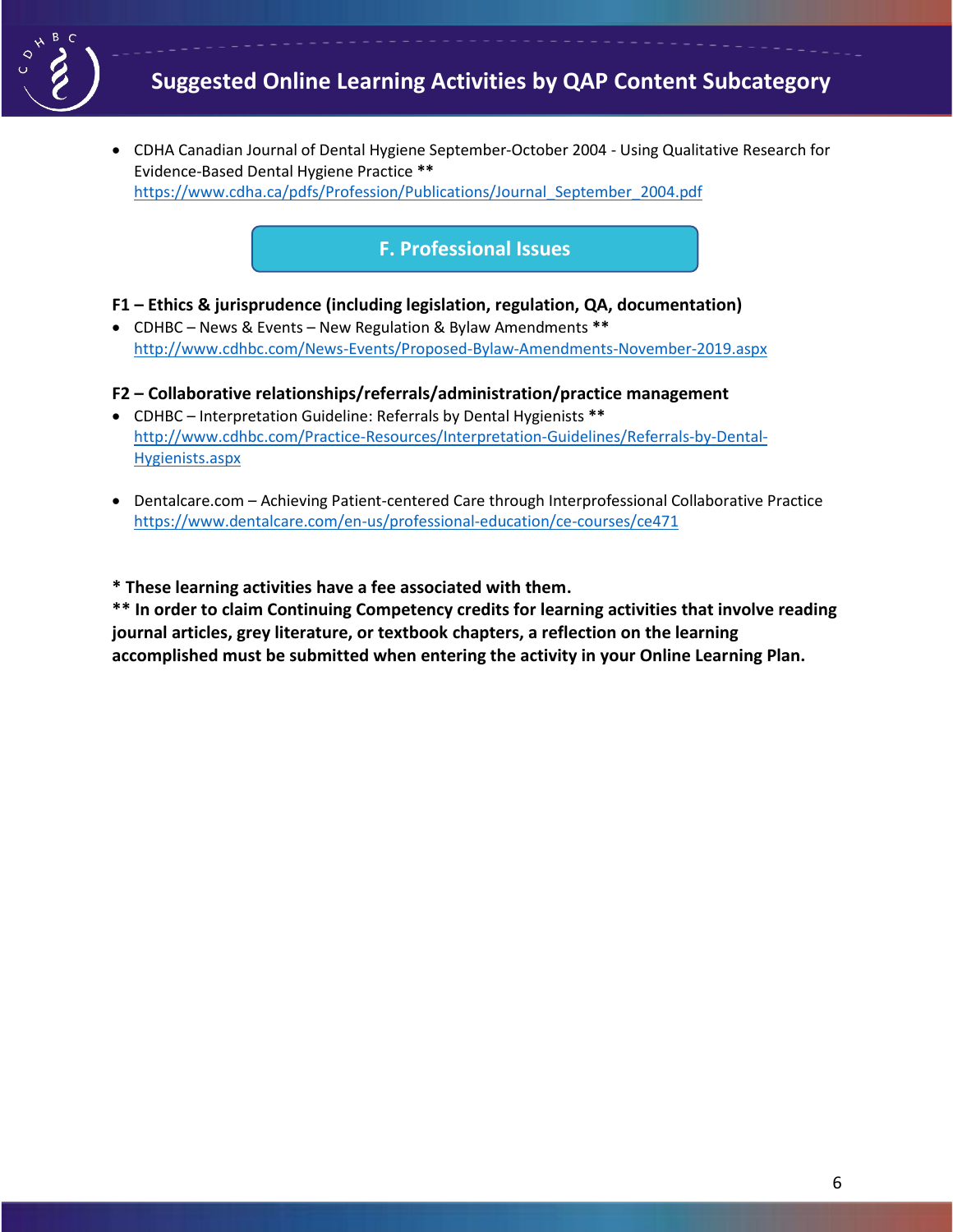

• CDHA Canadian Journal of Dental Hygiene September-October 2004 - Using Qualitative Research for Evidence-Based Dental Hygiene Practice **\*\*** [https://www.cdha.ca/pdfs/Profession/Publications/Journal\\_September\\_2004.pdf](https://www.cdha.ca/pdfs/Profession/Publications/Journal_September_2004.pdf)

# **F. Professional Issues**

**F1 – Ethics & jurisprudence (including legislation, regulation, QA, documentation)**

• CDHBC – News & Events – New Regulation & Bylaw Amendments **\*\*** <http://www.cdhbc.com/News-Events/Proposed-Bylaw-Amendments-November-2019.aspx>

#### **F2 – Collaborative relationships/referrals/administration/practice management**

- CDHBC Interpretation Guideline: Referrals by Dental Hygienists **\*\*** [http://www.cdhbc.com/Practice-Resources/Interpretation-Guidelines/Referrals-by-Dental-](http://www.cdhbc.com/Practice-Resources/Interpretation-Guidelines/Referrals-by-Dental-Hygienists.aspx)[Hygienists.aspx](http://www.cdhbc.com/Practice-Resources/Interpretation-Guidelines/Referrals-by-Dental-Hygienists.aspx)
- Dentalcare.com Achieving Patient-centered Care through Interprofessional Collaborative Practice <https://www.dentalcare.com/en-us/professional-education/ce-courses/ce471>

**\* These learning activities have a fee associated with them.**

**\*\* In order to claim Continuing Competency credits for learning activities that involve reading journal articles, grey literature, or textbook chapters, a reflection on the learning accomplished must be submitted when entering the activity in your Online Learning Plan.**